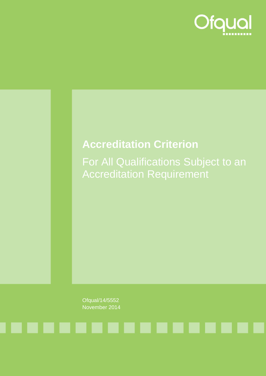

### **Accreditation Criterion**

For All Qualifications Subject to an Accreditation Requirement

Ofqual/14/5552 November 2014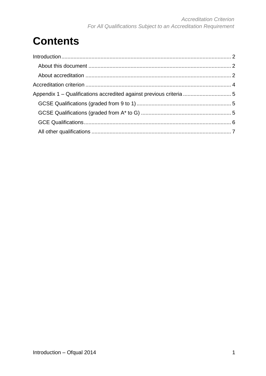## **Contents**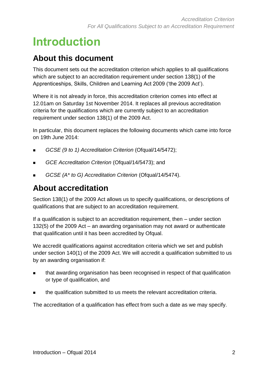## <span id="page-2-0"></span>**Introduction**

### <span id="page-2-1"></span>**About this document**

This document sets out the accreditation criterion which applies to all qualifications which are subject to an accreditation requirement under section 138(1) of the Apprenticeships, Skills, Children and Learning Act 2009 ('the 2009 Act').

Where it is not already in force, this accreditation criterion comes into effect at 12.01am on Saturday 1st November 2014. It replaces all previous accreditation criteria for the qualifications which are currently subject to an accreditation requirement under section 138(1) of the 2009 Act.

In particular, this document replaces the following documents which came into force on 19th June 2014:

- *GCSE (9 to 1) Accreditation Criterion* (Ofqual/14/5472);
- *GCE Accreditation Criterion* (Ofqual/14/5473); and
- *GCSE (A\* to G) Accreditation Criterion* (Ofqual/14/5474).

### <span id="page-2-2"></span>**About accreditation**

Section 138(1) of the 2009 Act allows us to specify qualifications, or descriptions of qualifications that are subject to an accreditation requirement.

If a qualification is subject to an accreditation requirement, then – under section 132(5) of the 2009 Act – an awarding organisation may not award or authenticate that qualification until it has been accredited by Ofqual.

We accredit qualifications against accreditation criteria which we set and publish under section 140(1) of the 2009 Act. We will accredit a qualification submitted to us by an awarding organisation if:

- that awarding organisation has been recognised in respect of that qualification or type of qualification, and
- the qualification submitted to us meets the relevant accreditation criteria.

The accreditation of a qualification has effect from such a date as we may specify.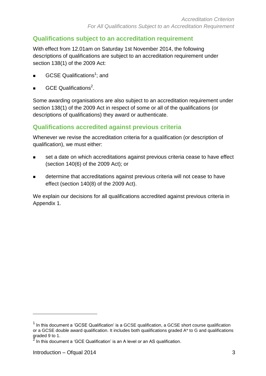#### **Qualifications subject to an accreditation requirement**

With effect from 12.01am on Saturday 1st November 2014, the following descriptions of qualifications are subject to an accreditation requirement under section 138(1) of the 2009 Act:

- **GCSE Qualifications<sup>1</sup>; and**
- **GCE Qualifications<sup>2</sup>**.

Some awarding organisations are also subject to an accreditation requirement under section 138(1) of the 2009 Act in respect of some or all of the qualifications (or descriptions of qualifications) they award or authenticate.

#### **Qualifications accredited against previous criteria**

Whenever we revise the accreditation criteria for a qualification (or description of qualification), we must either:

- set a date on which accreditations against previous criteria cease to have effect (section 140(6) of the 2009 Act); or
- determine that accreditations against previous criteria will not cease to have effect (section 140(8) of the 2009 Act).

We explain our decisions for all qualifications accredited against previous criteria in Appendix 1.

 $\overline{a}$ 

 $1$  In this document a 'GCSE Qualification' is a GCSE qualification, a GCSE short course qualification or a GCSE double award qualification. It includes both qualifications graded A\* to G and qualifications graded 9 to 1.<br><sup>2</sup> In this doour

In this document a 'GCE Qualification' is an A level or an AS qualification.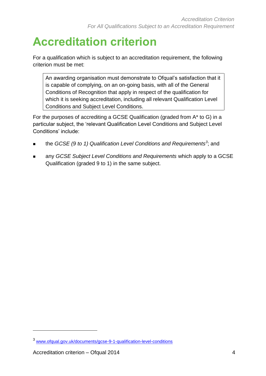# <span id="page-4-0"></span>**Accreditation criterion**

For a qualification which is subject to an accreditation requirement, the following criterion must be met:

An awarding organisation must demonstrate to Ofqual's satisfaction that it is capable of complying, on an on-going basis, with all of the General Conditions of Recognition that apply in respect of the qualification for which it is seeking accreditation, including all relevant Qualification Level Conditions and Subject Level Conditions.

For the purposes of accrediting a GCSE Qualification (graded from A\* to G) in a particular subject, the 'relevant Qualification Level Conditions and Subject Level Conditions' include:

- the *GCSE (9 to 1) Qualification Level Conditions and Requirements<sup>3</sup>; and*
- any *GCSE Subject Level Conditions and Requirements* which apply to a GCSE Qualification (graded 9 to 1) in the same subject.

l

<sup>3</sup> [www.ofqual.gov.uk/documents/gcse-9-1-qualification-level-conditions](http://www.ofqual.gov.uk/documents/gcse-9-1-qualification-level-conditions)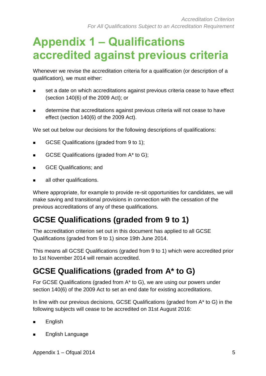## <span id="page-5-0"></span>**Appendix 1 – Qualifications accredited against previous criteria**

Whenever we revise the accreditation criteria for a qualification (or description of a qualification), we must either:

- set a date on which accreditations against previous criteria cease to have effect (section 140(6) of the 2009 Act); or
- determine that accreditations against previous criteria will not cease to have effect (section 140(6) of the 2009 Act).

We set out below our decisions for the following descriptions of qualifications:

- GCSE Qualifications (graded from 9 to 1);
- GCSE Qualifications (graded from  $A^*$  to G);
- GCE Qualifications; and
- **all other qualifications.**

Where appropriate, for example to provide re-sit opportunities for candidates, we will make saving and transitional provisions in connection with the cessation of the previous accreditations of any of these qualifications.

### <span id="page-5-1"></span>**GCSE Qualifications (graded from 9 to 1)**

The accreditation criterion set out in this document has applied to all GCSE Qualifications (graded from 9 to 1) since 19th June 2014.

This means all GCSE Qualifications (graded from 9 to 1) which were accredited prior to 1st November 2014 will remain accredited.

### <span id="page-5-2"></span>**GCSE Qualifications (graded from A\* to G)**

For GCSE Qualifications (graded from A\* to G), we are using our powers under section 140(6) of the 2009 Act to set an end date for existing accreditations.

In line with our previous decisions, GCSE Qualifications (graded from A\* to G) in the following subjects will cease to be accredited on 31st August 2016:

- **English**
- **English Language**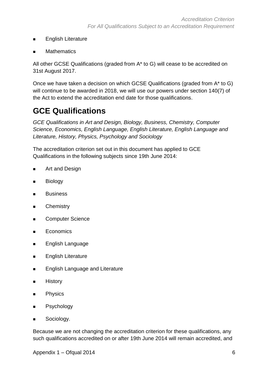- **English Literature**
- **Mathematics**

All other GCSE Qualifications (graded from A\* to G) will cease to be accredited on 31st August 2017.

Once we have taken a decision on which GCSE Qualifications (graded from A\* to G) will continue to be awarded in 2018, we will use our powers under section 140(7) of the Act to extend the accreditation end date for those qualifications.

### <span id="page-6-0"></span>**GCE Qualifications**

*GCE Qualifications in Art and Design, Biology, Business, Chemistry, Computer Science, Economics, English Language, English Literature, English Language and Literature, History, Physics, Psychology and Sociology*

The accreditation criterion set out in this document has applied to GCE Qualifications in the following subjects since 19th June 2014:

- **Art and Design**
- Biology
- **Business**
- **E** Chemistry
- **EXECOMPUTER Science**
- **Economics**
- **English Language**
- **English Literature**
- **English Language and Literature**
- **History**
- **Physics**
- **B** Psychology
- **Sociology.**

Because we are not changing the accreditation criterion for these qualifications, any such qualifications accredited on or after 19th June 2014 will remain accredited, and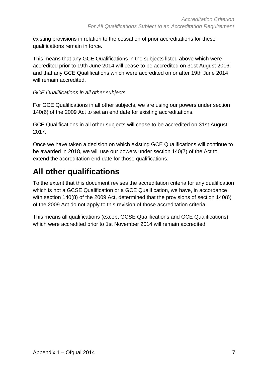existing provisions in relation to the cessation of prior accreditations for these qualifications remain in force.

This means that any GCE Qualifications in the subjects listed above which were accredited prior to 19th June 2014 will cease to be accredited on 31st August 2016, and that any GCE Qualifications which were accredited on or after 19th June 2014 will remain accredited.

#### *GCE Qualifications in all other subjects*

For GCE Qualifications in all other subjects, we are using our powers under section 140(6) of the 2009 Act to set an end date for existing accreditations.

GCE Qualifications in all other subjects will cease to be accredited on 31st August 2017.

Once we have taken a decision on which existing GCE Qualifications will continue to be awarded in 2018, we will use our powers under section 140(7) of the Act to extend the accreditation end date for those qualifications.

### <span id="page-7-0"></span>**All other qualifications**

To the extent that this document revises the accreditation criteria for any qualification which is not a GCSE Qualification or a GCE Qualification, we have, in accordance with section 140(8) of the 2009 Act, determined that the provisions of section 140(6) of the 2009 Act do not apply to this revision of those accreditation criteria.

This means all qualifications (except GCSE Qualifications and GCE Qualifications) which were accredited prior to 1st November 2014 will remain accredited.